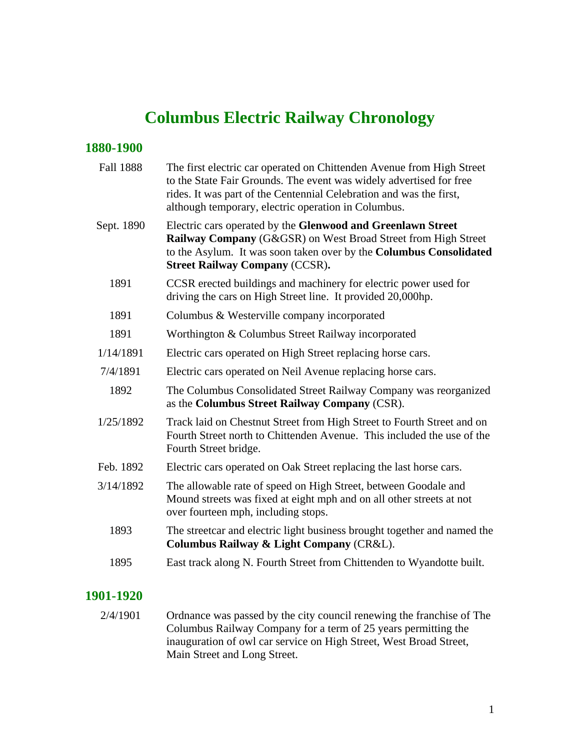# **Columbus Electric Railway Chronology**

### **1880-1900**

| <b>Fall 1888</b> | The first electric car operated on Chittenden Avenue from High Street<br>to the State Fair Grounds. The event was widely advertised for free<br>rides. It was part of the Centennial Celebration and was the first,<br>although temporary, electric operation in Columbus. |
|------------------|----------------------------------------------------------------------------------------------------------------------------------------------------------------------------------------------------------------------------------------------------------------------------|
| Sept. 1890       | Electric cars operated by the Glenwood and Greenlawn Street<br>Railway Company (G&GSR) on West Broad Street from High Street<br>to the Asylum. It was soon taken over by the Columbus Consolidated<br><b>Street Railway Company (CCSR).</b>                                |
| 1891             | CCSR erected buildings and machinery for electric power used for<br>driving the cars on High Street line. It provided 20,000hp.                                                                                                                                            |
| 1891             | Columbus & Westerville company incorporated                                                                                                                                                                                                                                |
| 1891             | Worthington & Columbus Street Railway incorporated                                                                                                                                                                                                                         |
| 1/14/1891        | Electric cars operated on High Street replacing horse cars.                                                                                                                                                                                                                |
| 7/4/1891         | Electric cars operated on Neil Avenue replacing horse cars.                                                                                                                                                                                                                |
| 1892             | The Columbus Consolidated Street Railway Company was reorganized<br>as the Columbus Street Railway Company (CSR).                                                                                                                                                          |
| 1/25/1892        | Track laid on Chestnut Street from High Street to Fourth Street and on<br>Fourth Street north to Chittenden Avenue. This included the use of the<br>Fourth Street bridge.                                                                                                  |
| Feb. 1892        | Electric cars operated on Oak Street replacing the last horse cars.                                                                                                                                                                                                        |
| 3/14/1892        | The allowable rate of speed on High Street, between Goodale and<br>Mound streets was fixed at eight mph and on all other streets at not<br>over fourteen mph, including stops.                                                                                             |
| 1893             | The streetcar and electric light business brought together and named the<br>Columbus Railway & Light Company (CR&L).                                                                                                                                                       |
| 1895             | East track along N. Fourth Street from Chittenden to Wyandotte built.                                                                                                                                                                                                      |
|                  |                                                                                                                                                                                                                                                                            |

### **1901-1920**

2/4/1901 Ordnance was passed by the city council renewing the franchise of The Columbus Railway Company for a term of 25 years permitting the inauguration of owl car service on High Street, West Broad Street, Main Street and Long Street.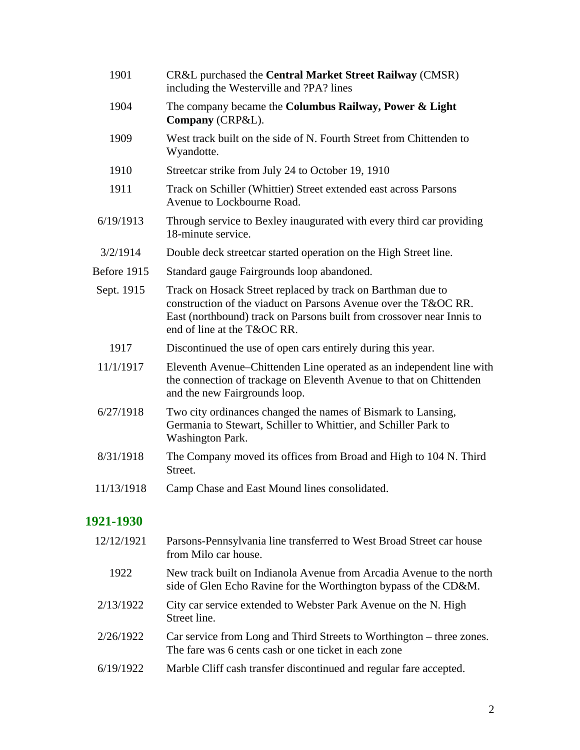| 1901        | CR&L purchased the Central Market Street Railway (CMSR)<br>including the Westerville and ?PA? lines                                                                                                                                    |
|-------------|----------------------------------------------------------------------------------------------------------------------------------------------------------------------------------------------------------------------------------------|
| 1904        | The company became the Columbus Railway, Power & Light<br>Company (CRP&L).                                                                                                                                                             |
| 1909        | West track built on the side of N. Fourth Street from Chittenden to<br>Wyandotte.                                                                                                                                                      |
| 1910        | Streetcar strike from July 24 to October 19, 1910                                                                                                                                                                                      |
| 1911        | Track on Schiller (Whittier) Street extended east across Parsons<br>Avenue to Lockbourne Road.                                                                                                                                         |
| 6/19/1913   | Through service to Bexley inaugurated with every third car providing<br>18-minute service.                                                                                                                                             |
| 3/2/1914    | Double deck street car started operation on the High Street line.                                                                                                                                                                      |
| Before 1915 | Standard gauge Fairgrounds loop abandoned.                                                                                                                                                                                             |
| Sept. 1915  | Track on Hosack Street replaced by track on Barthman due to<br>construction of the viaduct on Parsons Avenue over the T&OC RR.<br>East (northbound) track on Parsons built from crossover near Innis to<br>end of line at the T&OC RR. |
| 1917        | Discontinued the use of open cars entirely during this year.                                                                                                                                                                           |
| 11/1/1917   | Eleventh Avenue–Chittenden Line operated as an independent line with<br>the connection of trackage on Eleventh Avenue to that on Chittenden<br>and the new Fairgrounds loop.                                                           |
| 6/27/1918   | Two city ordinances changed the names of Bismark to Lansing,<br>Germania to Stewart, Schiller to Whittier, and Schiller Park to<br><b>Washington Park.</b>                                                                             |
| 8/31/1918   | The Company moved its offices from Broad and High to 104 N. Third<br>Street.                                                                                                                                                           |
| 11/13/1918  | Camp Chase and East Mound lines consolidated.                                                                                                                                                                                          |

# **1921-1930**

| 12/12/1921 | Parsons-Pennsylvania line transferred to West Broad Street car house<br>from Milo car house.                                             |
|------------|------------------------------------------------------------------------------------------------------------------------------------------|
| 1922       | New track built on Indianola Avenue from Arcadia Avenue to the north<br>side of Glen Echo Ravine for the Worthington bypass of the CD&M. |
| 2/13/1922  | City car service extended to Webster Park Avenue on the N. High<br>Street line.                                                          |
| 2/26/1922  | Car service from Long and Third Streets to Worthington – three zones.<br>The fare was 6 cents cash or one ticket in each zone            |
| 6/19/1922  | Marble Cliff cash transfer discontinued and regular fare accepted.                                                                       |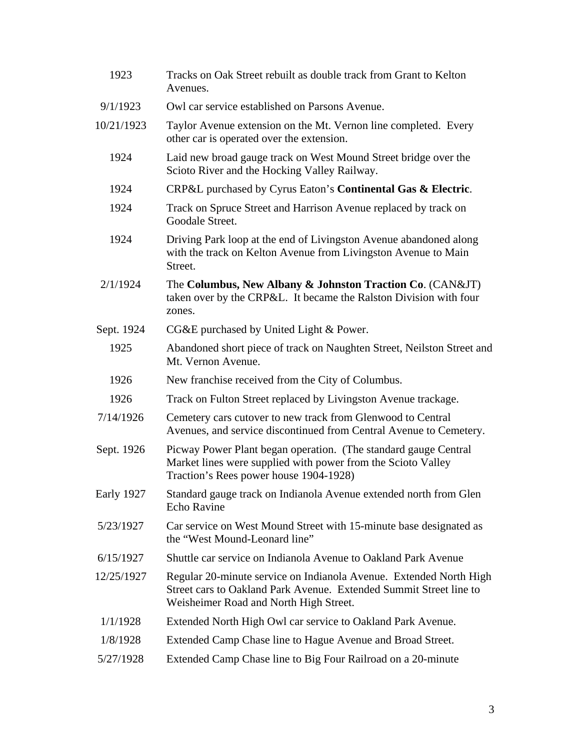| 1923       | Tracks on Oak Street rebuilt as double track from Grant to Kelton<br>Avenues.                                                                                                      |
|------------|------------------------------------------------------------------------------------------------------------------------------------------------------------------------------------|
| 9/1/1923   | Owl car service established on Parsons Avenue.                                                                                                                                     |
| 10/21/1923 | Taylor Avenue extension on the Mt. Vernon line completed. Every<br>other car is operated over the extension.                                                                       |
| 1924       | Laid new broad gauge track on West Mound Street bridge over the<br>Scioto River and the Hocking Valley Railway.                                                                    |
| 1924       | CRP&L purchased by Cyrus Eaton's Continental Gas & Electric.                                                                                                                       |
| 1924       | Track on Spruce Street and Harrison Avenue replaced by track on<br>Goodale Street.                                                                                                 |
| 1924       | Driving Park loop at the end of Livingston Avenue abandoned along<br>with the track on Kelton Avenue from Livingston Avenue to Main<br>Street.                                     |
| 2/1/1924   | The Columbus, New Albany & Johnston Traction Co. (CAN&JT)<br>taken over by the CRP&L. It became the Ralston Division with four<br>zones.                                           |
| Sept. 1924 | CG&E purchased by United Light & Power.                                                                                                                                            |
| 1925       | Abandoned short piece of track on Naughten Street, Neilston Street and<br>Mt. Vernon Avenue.                                                                                       |
| 1926       | New franchise received from the City of Columbus.                                                                                                                                  |
| 1926       | Track on Fulton Street replaced by Livingston Avenue trackage.                                                                                                                     |
| 7/14/1926  | Cemetery cars cutover to new track from Glenwood to Central<br>Avenues, and service discontinued from Central Avenue to Cemetery.                                                  |
| Sept. 1926 | Picway Power Plant began operation. (The standard gauge Central<br>Market lines were supplied with power from the Scioto Valley<br>Traction's Rees power house 1904-1928)          |
| Early 1927 | Standard gauge track on Indianola Avenue extended north from Glen<br><b>Echo Ravine</b>                                                                                            |
| 5/23/1927  | Car service on West Mound Street with 15-minute base designated as<br>the "West Mound-Leonard line"                                                                                |
| 6/15/1927  | Shuttle car service on Indianola Avenue to Oakland Park Avenue                                                                                                                     |
| 12/25/1927 | Regular 20-minute service on Indianola Avenue. Extended North High<br>Street cars to Oakland Park Avenue. Extended Summit Street line to<br>Weisheimer Road and North High Street. |
| 1/1/1928   | Extended North High Owl car service to Oakland Park Avenue.                                                                                                                        |
| 1/8/1928   | Extended Camp Chase line to Hague Avenue and Broad Street.                                                                                                                         |
| 5/27/1928  | Extended Camp Chase line to Big Four Railroad on a 20-minute                                                                                                                       |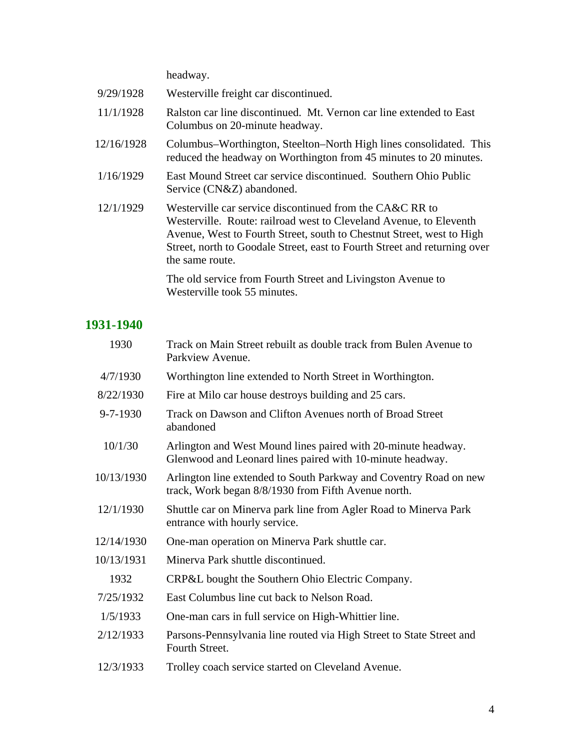headway.

| 9/29/1928  | Westerville freight car discontinued.                                                                                                                                                                                                                                                                   |
|------------|---------------------------------------------------------------------------------------------------------------------------------------------------------------------------------------------------------------------------------------------------------------------------------------------------------|
| 11/1/1928  | Ralston car line discontinued. Mt. Vernon car line extended to East<br>Columbus on 20-minute headway.                                                                                                                                                                                                   |
| 12/16/1928 | Columbus–Worthington, Steelton–North High lines consolidated. This<br>reduced the headway on Worthington from 45 minutes to 20 minutes.                                                                                                                                                                 |
| 1/16/1929  | East Mound Street car service discontinued. Southern Ohio Public<br>Service (CN&Z) abandoned.                                                                                                                                                                                                           |
| 12/1/1929  | Westerville car service discontinued from the CA&C RR to<br>Westerville. Route: railroad west to Cleveland Avenue, to Eleventh<br>Avenue, West to Fourth Street, south to Chestnut Street, west to High<br>Street, north to Goodale Street, east to Fourth Street and returning over<br>the same route. |
|            | The old service from Fourth Street and Livingston Avenue to<br>Westerville took 55 minutes.                                                                                                                                                                                                             |

# **1931-1940**

| 1930           | Track on Main Street rebuilt as double track from Bulen Avenue to<br>Parkview Avenue.                                      |
|----------------|----------------------------------------------------------------------------------------------------------------------------|
| 4/7/1930       | Worthington line extended to North Street in Worthington.                                                                  |
| 8/22/1930      | Fire at Milo car house destroys building and 25 cars.                                                                      |
| $9 - 7 - 1930$ | Track on Dawson and Clifton Avenues north of Broad Street<br>abandoned                                                     |
| 10/1/30        | Arlington and West Mound lines paired with 20-minute headway.<br>Glenwood and Leonard lines paired with 10-minute headway. |
| 10/13/1930     | Arlington line extended to South Parkway and Coventry Road on new<br>track, Work began 8/8/1930 from Fifth Avenue north.   |
| 12/1/1930      | Shuttle car on Minerva park line from Agler Road to Minerva Park<br>entrance with hourly service.                          |
| 12/14/1930     | One-man operation on Minerva Park shuttle car.                                                                             |
| 10/13/1931     | Minerva Park shuttle discontinued.                                                                                         |
| 1932           | CRP&L bought the Southern Ohio Electric Company.                                                                           |
| 7/25/1932      | East Columbus line cut back to Nelson Road.                                                                                |
| 1/5/1933       | One-man cars in full service on High-Whittier line.                                                                        |
| 2/12/1933      | Parsons-Pennsylvania line routed via High Street to State Street and<br>Fourth Street.                                     |
| 12/3/1933      | Trolley coach service started on Cleveland Avenue.                                                                         |
|                |                                                                                                                            |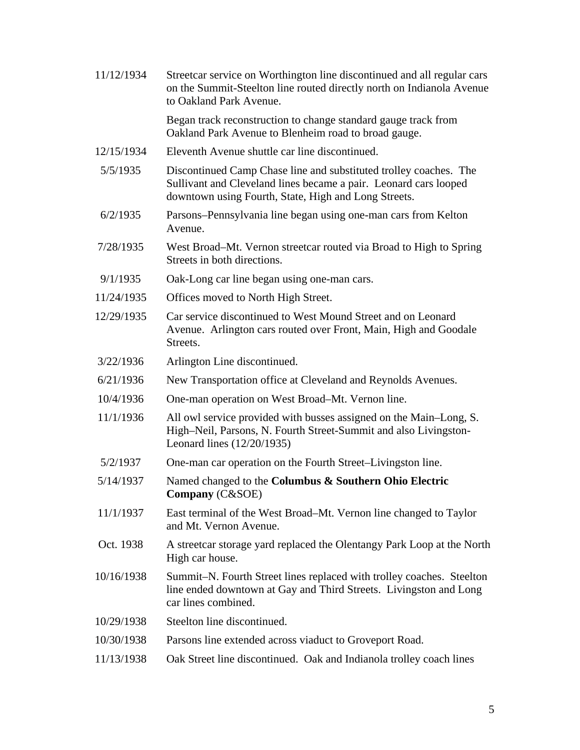11/12/1934 Streetcar service on Worthington line discontinued and all regular cars on the Summit-Steelton line routed directly north on Indianola Avenue to Oakland Park Avenue. Began track reconstruction to change standard gauge track from Oakland Park Avenue to Blenheim road to broad gauge. 12/15/1934 Eleventh Avenue shuttle car line discontinued. 5/5/1935 Discontinued Camp Chase line and substituted trolley coaches. The Sullivant and Cleveland lines became a pair. Leonard cars looped downtown using Fourth, State, High and Long Streets. 6/2/1935 Parsons–Pennsylvania line began using one-man cars from Kelton Avenue. 7/28/1935 West Broad–Mt. Vernon streetcar routed via Broad to High to Spring Streets in both directions. 9/1/1935 Oak-Long car line began using one-man cars. 11/24/1935 Offices moved to North High Street. 12/29/1935 Car service discontinued to West Mound Street and on Leonard Avenue. Arlington cars routed over Front, Main, High and Goodale Streets. 3/22/1936 Arlington Line discontinued. 6/21/1936 New Transportation office at Cleveland and Reynolds Avenues. 10/4/1936 One-man operation on West Broad–Mt. Vernon line. 11/1/1936 All owl service provided with busses assigned on the Main–Long, S. High–Neil, Parsons, N. Fourth Street-Summit and also Livingston-Leonard lines (12/20/1935) 5/2/1937 One-man car operation on the Fourth Street–Livingston line. 5/14/1937 Named changed to the **Columbus & Southern Ohio Electric Company** (C&SOE) 11/1/1937 East terminal of the West Broad–Mt. Vernon line changed to Taylor and Mt. Vernon Avenue. Oct. 1938 A streetcar storage yard replaced the Olentangy Park Loop at the North High car house. 10/16/1938 Summit–N. Fourth Street lines replaced with trolley coaches. Steelton line ended downtown at Gay and Third Streets. Livingston and Long car lines combined. 10/29/1938 Steelton line discontinued. 10/30/1938 Parsons line extended across viaduct to Groveport Road. 11/13/1938 Oak Street line discontinued. Oak and Indianola trolley coach lines